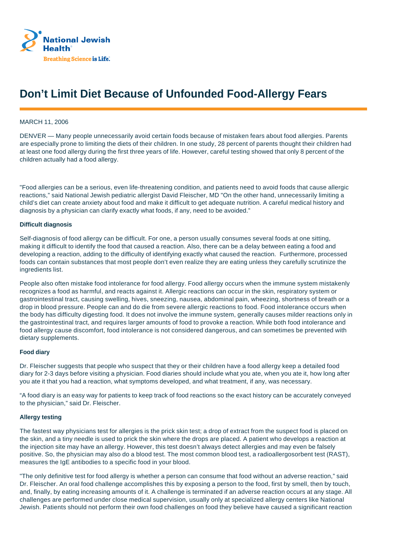

# **Don't Limit Diet Because of Unfounded Food-Allergy Fears**

## MARCH 11, 2006

DENVER — Many people unnecessarily avoid certain foods because of mistaken fears about food allergies. Parents are especially prone to limiting the diets of their children. In one study, 28 percent of parents thought their children had at least one food allergy during the first three years of life. However, careful testing showed that only 8 percent of the children actually had a food allergy.

"Food allergies can be a serious, even life-threatening condition, and patients need to avoid foods that cause allergic reactions," said National Jewish pediatric allergist David Fleischer, MD "On the other hand, unnecessarily limiting a child's diet can create anxiety about food and make it difficult to get adequate nutrition. A careful medical history and diagnosis by a physician can clarify exactly what foods, if any, need to be avoided."

### **Difficult diagnosis**

Self-diagnosis of food allergy can be difficult. For one, a person usually consumes several foods at one sitting, making it difficult to identify the food that caused a reaction. Also, there can be a delay between eating a food and developing a reaction, adding to the difficulty of identifying exactly what caused the reaction. Furthermore, processed foods can contain substances that most people don't even realize they are eating unless they carefully scrutinize the ingredients list.

People also often mistake food intolerance for food allergy. Food allergy occurs when the immune system mistakenly recognizes a food as harmful, and reacts against it. Allergic reactions can occur in the skin, respiratory system or gastrointestinal tract, causing swelling, hives, sneezing, nausea, abdominal pain, wheezing, shortness of breath or a drop in blood pressure. People can and do die from severe allergic reactions to food. Food intolerance occurs when the body has difficulty digesting food. It does not involve the immune system, generally causes milder reactions only in the gastrointestinal tract, and requires larger amounts of food to provoke a reaction. While both food intolerance and food allergy cause discomfort, food intolerance is not considered dangerous, and can sometimes be prevented with dietary supplements.

### **Food diary**

Dr. Fleischer suggests that people who suspect that they or their children have a food allergy keep a detailed food diary for 2-3 days before visiting a physician. Food diaries should include what you ate, when you ate it, how long after you ate it that you had a reaction, what symptoms developed, and what treatment, if any, was necessary.

"A food diary is an easy way for patients to keep track of food reactions so the exact history can be accurately conveyed to the physician," said Dr. Fleischer.

### **Allergy testing**

The fastest way physicians test for allergies is the prick skin test; a drop of extract from the suspect food is placed on the skin, and a tiny needle is used to prick the skin where the drops are placed. A patient who develops a reaction at the injection site may have an allergy. However, this test doesn't always detect allergies and may even be falsely positive. So, the physician may also do a blood test. The most common blood test, a radioallergosorbent test (RAST), measures the IgE antibodies to a specific food in your blood.

"The only definitive test for food allergy is whether a person can consume that food without an adverse reaction," said Dr. Fleischer. An oral food challenge accomplishes this by exposing a person to the food, first by smell, then by touch, and, finally, by eating increasing amounts of it. A challenge is terminated if an adverse reaction occurs at any stage. All challenges are performed under close medical supervision, usually only at specialized allergy centers like National Jewish. Patients should not perform their own food challenges on food they believe have caused a significant reaction